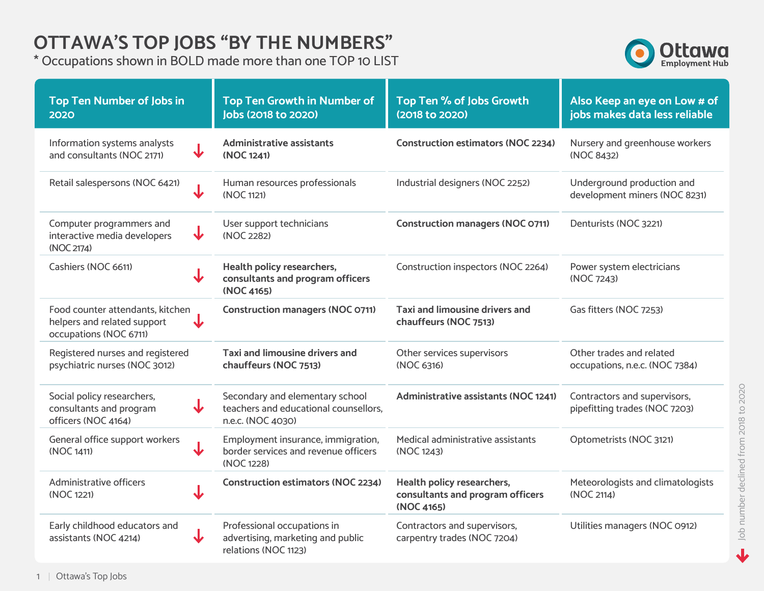#### **OTTAWA'S TOP JOBS "BY THE NUMBERS"**

\* Occupations shown in BOLD made more than one TOP 10 LIST



| <b>Top Ten Number of Jobs in</b><br>2020                                                                | <b>Top Ten Growth in Number of</b><br><b>Jobs (2018 to 2020)</b>                              | Top Ten % of Jobs Growth<br>(2018 to 2020)                                   | Also Keep an eye on Low # of<br>jobs makes data less reliable |
|---------------------------------------------------------------------------------------------------------|-----------------------------------------------------------------------------------------------|------------------------------------------------------------------------------|---------------------------------------------------------------|
| Information systems analysts<br>$\bigcup$<br>and consultants (NOC 2171)                                 | <b>Administrative assistants</b><br>(NOC 1241)                                                | <b>Construction estimators (NOC 2234)</b>                                    | Nursery and greenhouse workers<br>(NOC 8432)                  |
| Retail salespersons (NOC 6421)<br>$\overline{\mathbf{J}}$                                               | Human resources professionals<br>(NOC 1121)                                                   | Industrial designers (NOC 2252)                                              | Underground production and<br>development miners (NOC 8231)   |
| Computer programmers and<br>$\overline{\mathbf{v}}$<br>interactive media developers<br>(NOC 2174)       | User support technicians<br>(NOC 2282)                                                        | <b>Construction managers (NOC 0711)</b>                                      | Denturists (NOC 3221)                                         |
| Cashiers (NOC 6611)                                                                                     | Health policy researchers,<br>consultants and program officers<br>(NOC 4165)                  | Construction inspectors (NOC 2264)                                           | Power system electricians<br>(NOC 7243)                       |
| Food counter attendants, kitchen<br>helpers and related support<br>occupations (NOC 6711)               | <b>Construction managers (NOC 0711)</b>                                                       | <b>Taxi and limousine drivers and</b><br>chauffeurs (NOC 7513)               | Gas fitters (NOC 7253)                                        |
| Registered nurses and registered<br>psychiatric nurses (NOC 3012)                                       | <b>Taxi and limousine drivers and</b><br>chauffeurs (NOC 7513)                                | Other services supervisors<br>(NOC 6316)                                     | Other trades and related<br>occupations, n.e.c. (NOC 7384)    |
| Social policy researchers,<br>$\overline{\mathbf{v}}$<br>consultants and program<br>officers (NOC 4164) | Secondary and elementary school<br>teachers and educational counsellors,<br>n.e.c. (NOC 4030) | <b>Administrative assistants (NOC 1241)</b>                                  | Contractors and supervisors,<br>pipefitting trades (NOC 7203) |
| General office support workers<br>↓<br>(NOC 1411)                                                       | Employment insurance, immigration,<br>border services and revenue officers<br>(NOC 1228)      | Medical administrative assistants<br>(NOC 1243)                              | Optometrists (NOC 3121)                                       |
| Administrative officers<br>$\downarrow$<br>(NOC 1221)                                                   | <b>Construction estimators (NOC 2234)</b>                                                     | Health policy researchers,<br>consultants and program officers<br>(NOC 4165) | Meteorologists and climatologists<br>(NOC 2114)               |
| Early childhood educators and<br>assistants (NOC 4214)                                                  | Professional occupations in<br>advertising, marketing and public<br>relations (NOC 1123)      | Contractors and supervisors,<br>carpentry trades (NOC 7204)                  | Utilities managers (NOC 0912)                                 |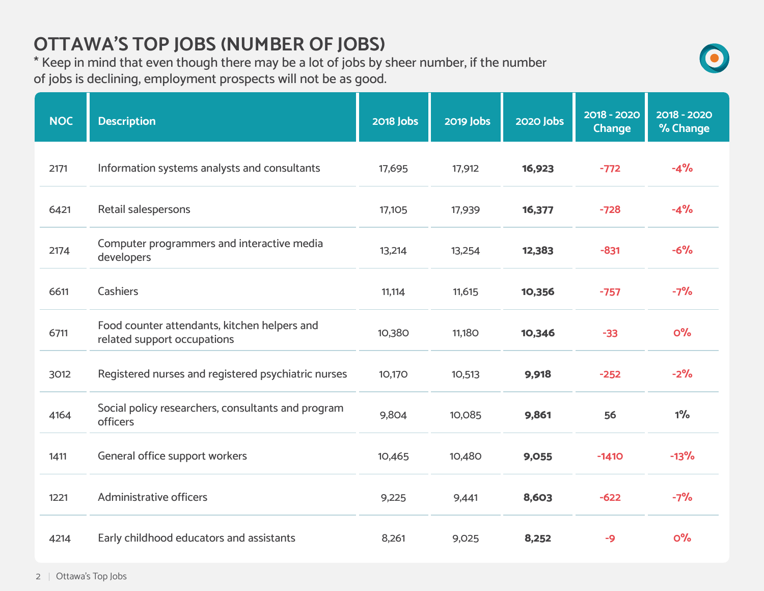# **OTTAWA'S TOP JOBS (NUMBER OF JOBS)**

\* Keep in mind that even though there may be a lot of jobs by sheer number, if the number of jobs is declining, employment prospects will not be as good.

| <b>NOC</b> | <b>Description</b>                                                          | <b>2018 Jobs</b> | <b>2019 Jobs</b> | <b>2020 Jobs</b> | 2018 - 2020<br>Change | 2018 - 2020<br>% Change |
|------------|-----------------------------------------------------------------------------|------------------|------------------|------------------|-----------------------|-------------------------|
| 2171       | Information systems analysts and consultants                                | 17,695           | 17,912           | 16,923           | $-772$                | $-4%$                   |
| 6421       | Retail salespersons                                                         | 17,105           | 17,939           | 16,377           | $-728$                | $-4%$                   |
| 2174       | Computer programmers and interactive media<br>developers                    | 13,214           | 13,254           | 12,383           | $-831$                | $-6%$                   |
| 6611       | Cashiers                                                                    | 11,114           | 11,615           | 10,356           | $-757$                | $-7%$                   |
| 6711       | Food counter attendants, kitchen helpers and<br>related support occupations | 10,380           | <b>11,180</b>    | 10,346           | $-33$                 | O <sup>o</sup> /o       |
| 3012       | Registered nurses and registered psychiatric nurses                         | 10,170           | 10,513           | 9,918            | $-252$                | $-2%$                   |
| 4164       | Social policy researchers, consultants and program<br>officers              | 9,804            | 10,085           | 9,861            | 56                    | $1\%$                   |
| 1411       | General office support workers                                              | 10,465           | 10,480           | 9,055            | $-1410$               | $-13%$                  |
| 1221       | <b>Administrative officers</b>                                              | 9,225            | 9,441            | 8,603            | $-622$                | $-7%$                   |
| 4214       | Early childhood educators and assistants                                    | 8,261            | 9,025            | 8,252            | $-9$                  | O <sup>o</sup> /o       |

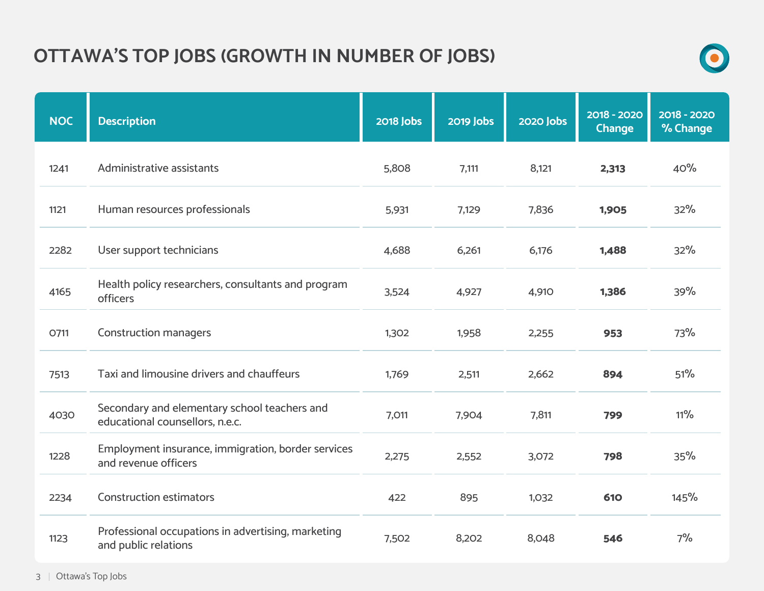# **OTTAWA'S TOP JOBS (GROWTH IN NUMBER OF JOBS)**



| <b>NOC</b> | <b>Description</b>                                                              | <b>2018 Jobs</b> | <b>2019 Jobs</b> | <b>2020 Jobs</b> | 2018 - 2020<br><b>Change</b> | 2018 - 2020<br>% Change |
|------------|---------------------------------------------------------------------------------|------------------|------------------|------------------|------------------------------|-------------------------|
| 1241       | Administrative assistants                                                       | 5,808            | 7,111            | 8,121            | 2,313                        | 40%                     |
| 1121       | Human resources professionals                                                   | 5,931            | 7,129            | 7,836            | 1,905                        | 32%                     |
| 2282       | User support technicians                                                        | 4,688            | 6,261            | 6,176            | 1,488                        | 32%                     |
| 4165       | Health policy researchers, consultants and program<br>officers                  | 3,524            | 4,927            | 4,910            | 1,386                        | 39%                     |
| O711       | <b>Construction managers</b>                                                    | 1,302            | 1,958            | 2,255            | 953                          | 73%                     |
| 7513       | Taxi and limousine drivers and chauffeurs                                       | 1,769            | 2,511            | 2,662            | 894                          | 51%                     |
| 4030       | Secondary and elementary school teachers and<br>educational counsellors, n.e.c. | 7,011            | 7,904            | 7,811            | 799                          | $11\%$                  |
| 1228       | Employment insurance, immigration, border services<br>and revenue officers      | 2,275            | 2,552            | 3,072            | 798                          | 35%                     |
| 2234       | <b>Construction estimators</b>                                                  | 422              | 895              | 1,032            | 610                          | 145%                    |
| 1123       | Professional occupations in advertising, marketing<br>and public relations      | 7,502            | 8,202            | 8,048            | 546                          | 7%                      |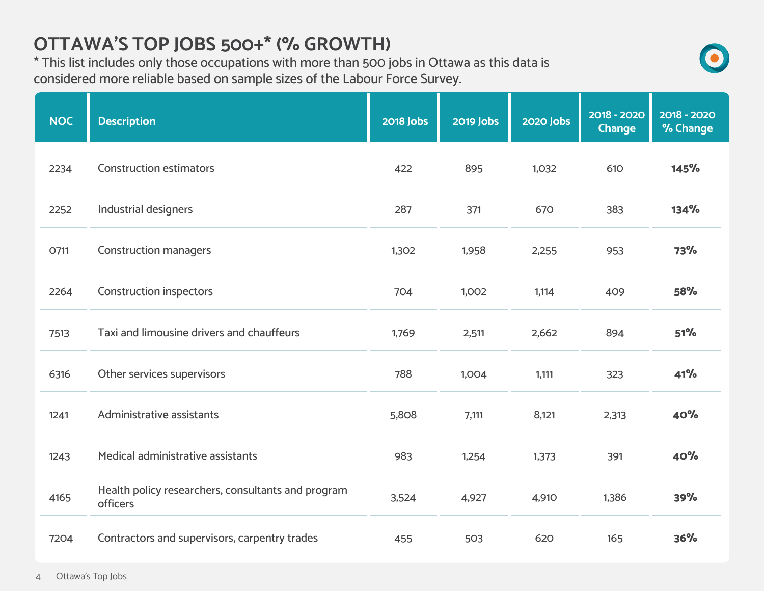## **OTTAWA'S TOP JOBS 500+\* (% GROWTH)**

\* This list includes only those occupations with more than 500 jobs in Ottawa as this data is considered more reliable based on sample sizes of the Labour Force Survey.

| <b>NOC</b> | <b>Description</b>                                             | <b>2018 Jobs</b> | <b>2019 Jobs</b> | <b>2020 Jobs</b> | 2018 - 2020<br><b>Change</b> | 2018 - 2020<br>% Change |
|------------|----------------------------------------------------------------|------------------|------------------|------------------|------------------------------|-------------------------|
| 2234       | <b>Construction estimators</b>                                 | 422              | 895              | 1,032            | 610                          | 145%                    |
| 2252       | Industrial designers                                           | 287              | 371              | 670              | 383                          | 134%                    |
| O711       | <b>Construction managers</b>                                   | 1,302            | 1,958            | 2,255            | 953                          | <b>73%</b>              |
| 2264       | <b>Construction inspectors</b>                                 | 704              | 1,002            | 1,114            | 409                          | <b>58%</b>              |
| 7513       | Taxi and limousine drivers and chauffeurs                      | 1,769            | 2,511            | 2,662            | 894                          | 51%                     |
| 6316       | Other services supervisors                                     | 788              | 1,004            | 1,111            | 323                          | 41%                     |
| 1241       | Administrative assistants                                      | 5,808            | 7,111            | 8,121            | 2,313                        | 40%                     |
| 1243       | Medical administrative assistants                              | 983              | 1,254            | 1,373            | 391                          | 40%                     |
| 4165       | Health policy researchers, consultants and program<br>officers | 3,524            | 4,927            | 4,910            | 1,386                        | 39%                     |
| 7204       | Contractors and supervisors, carpentry trades                  | 455              | 503              | 620              | 165                          | 36%                     |